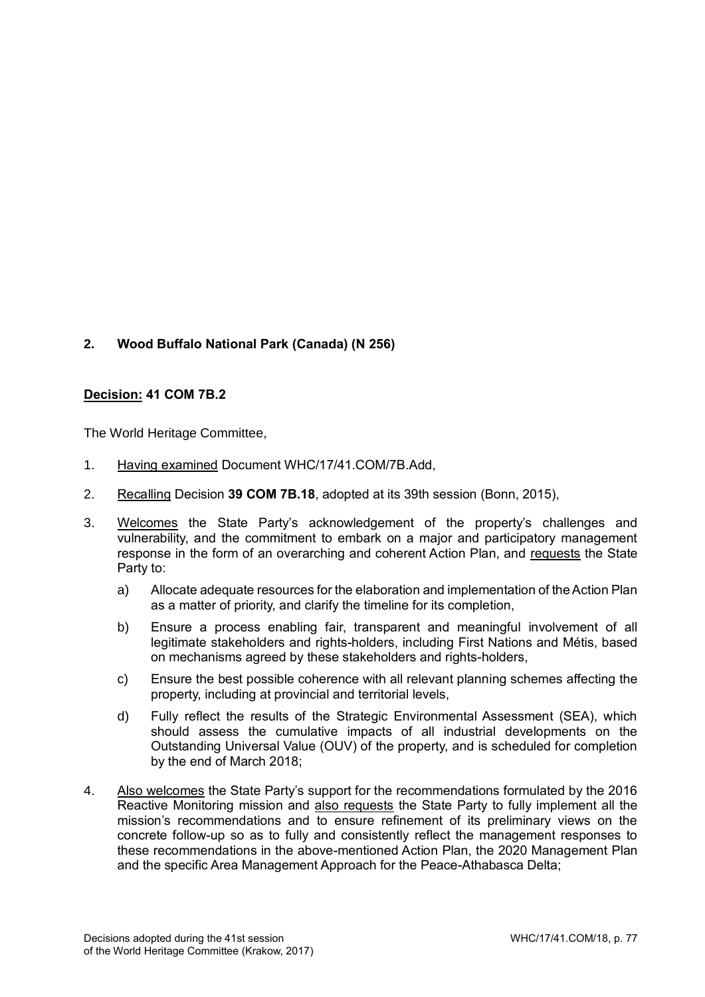## **2. Wood Buffalo National Park (Canada) (N 256)**

## **Decision: 41 COM 7B.2**

The World Heritage Committee,

- 1. Having examined Document WHC/17/41.COM/7B.Add,
- 2. Recalling Decision **39 COM 7B.18**, adopted at its 39th session (Bonn, 2015),
- 3. Welcomes the State Party's acknowledgement of the property's challenges and vulnerability, and the commitment to embark on a major and participatory management response in the form of an overarching and coherent Action Plan, and requests the State Party to:
	- a) Allocate adequate resources for the elaboration and implementation of the Action Plan as a matter of priority, and clarify the timeline for its completion,
	- b) Ensure a process enabling fair, transparent and meaningful involvement of all legitimate stakeholders and rights-holders, including First Nations and Métis, based on mechanisms agreed by these stakeholders and rights-holders,
	- c) Ensure the best possible coherence with all relevant planning schemes affecting the property, including at provincial and territorial levels,
	- d) Fully reflect the results of the Strategic Environmental Assessment (SEA), which should assess the cumulative impacts of all industrial developments on the Outstanding Universal Value (OUV) of the property, and is scheduled for completion by the end of March 2018;
- 4. Also welcomes the State Party's support for the recommendations formulated by the 2016 Reactive Monitoring mission and also requests the State Party to fully implement all the mission's recommendations and to ensure refinement of its preliminary views on the concrete follow-up so as to fully and consistently reflect the management responses to these recommendations in the above-mentioned Action Plan, the 2020 Management Plan and the specific Area Management Approach for the Peace-Athabasca Delta;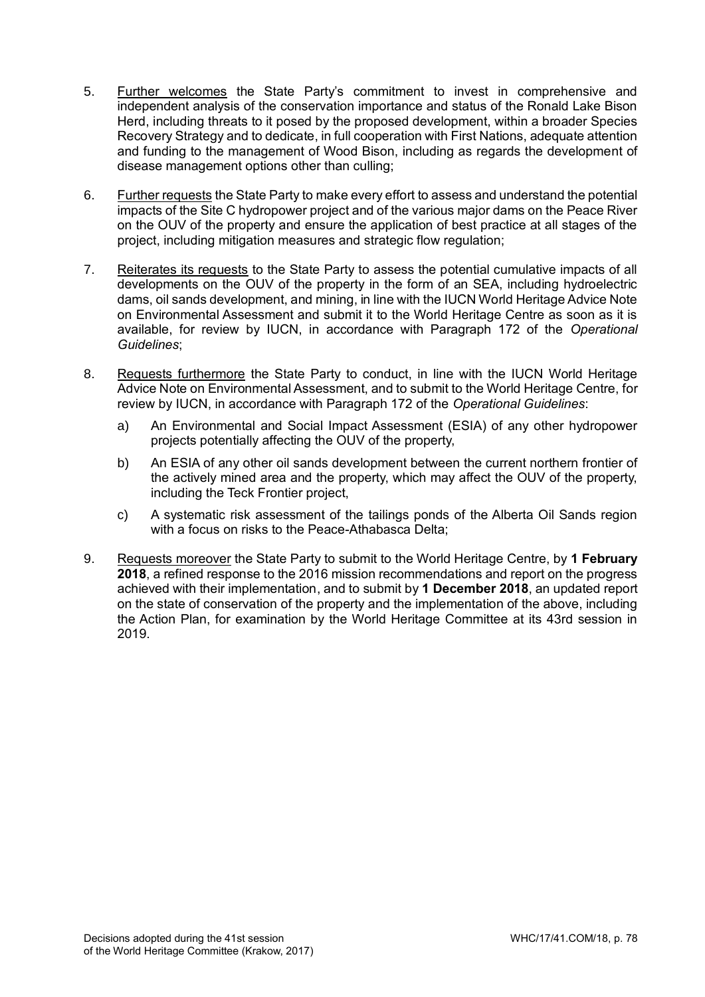- 5. Further welcomes the State Party's commitment to invest in comprehensive and independent analysis of the conservation importance and status of the Ronald Lake Bison Herd, including threats to it posed by the proposed development, within a broader Species Recovery Strategy and to dedicate, in full cooperation with First Nations, adequate attention and funding to the management of Wood Bison, including as regards the development of disease management options other than culling;
- 6. Further requests the State Party to make every effort to assess and understand the potential impacts of the Site C hydropower project and of the various major dams on the Peace River on the OUV of the property and ensure the application of best practice at all stages of the project, including mitigation measures and strategic flow regulation;
- 7. Reiterates its requests to the State Party to assess the potential cumulative impacts of all developments on the OUV of the property in the form of an SEA, including hydroelectric dams, oil sands development, and mining, in line with the IUCN World Heritage Advice Note on Environmental Assessment and submit it to the World Heritage Centre as soon as it is available, for review by IUCN, in accordance with Paragraph 172 of the *Operational Guidelines*;
- 8. Requests furthermore the State Party to conduct, in line with the IUCN World Heritage Advice Note on Environmental Assessment, and to submit to the World Heritage Centre, for review by IUCN, in accordance with Paragraph 172 of the *Operational Guidelines*:
	- a) An Environmental and Social Impact Assessment (ESIA) of any other hydropower projects potentially affecting the OUV of the property,
	- b) An ESIA of any other oil sands development between the current northern frontier of the actively mined area and the property, which may affect the OUV of the property, including the Teck Frontier project,
	- c) A systematic risk assessment of the tailings ponds of the Alberta Oil Sands region with a focus on risks to the Peace-Athabasca Delta;
- 9. Requests moreover the State Party to submit to the World Heritage Centre, by **1 February 2018**, a refined response to the 2016 mission recommendations and report on the progress achieved with their implementation, and to submit by **1 December 2018**, an updated report on the state of conservation of the property and the implementation of the above, including the Action Plan, for examination by the World Heritage Committee at its 43rd session in 2019.